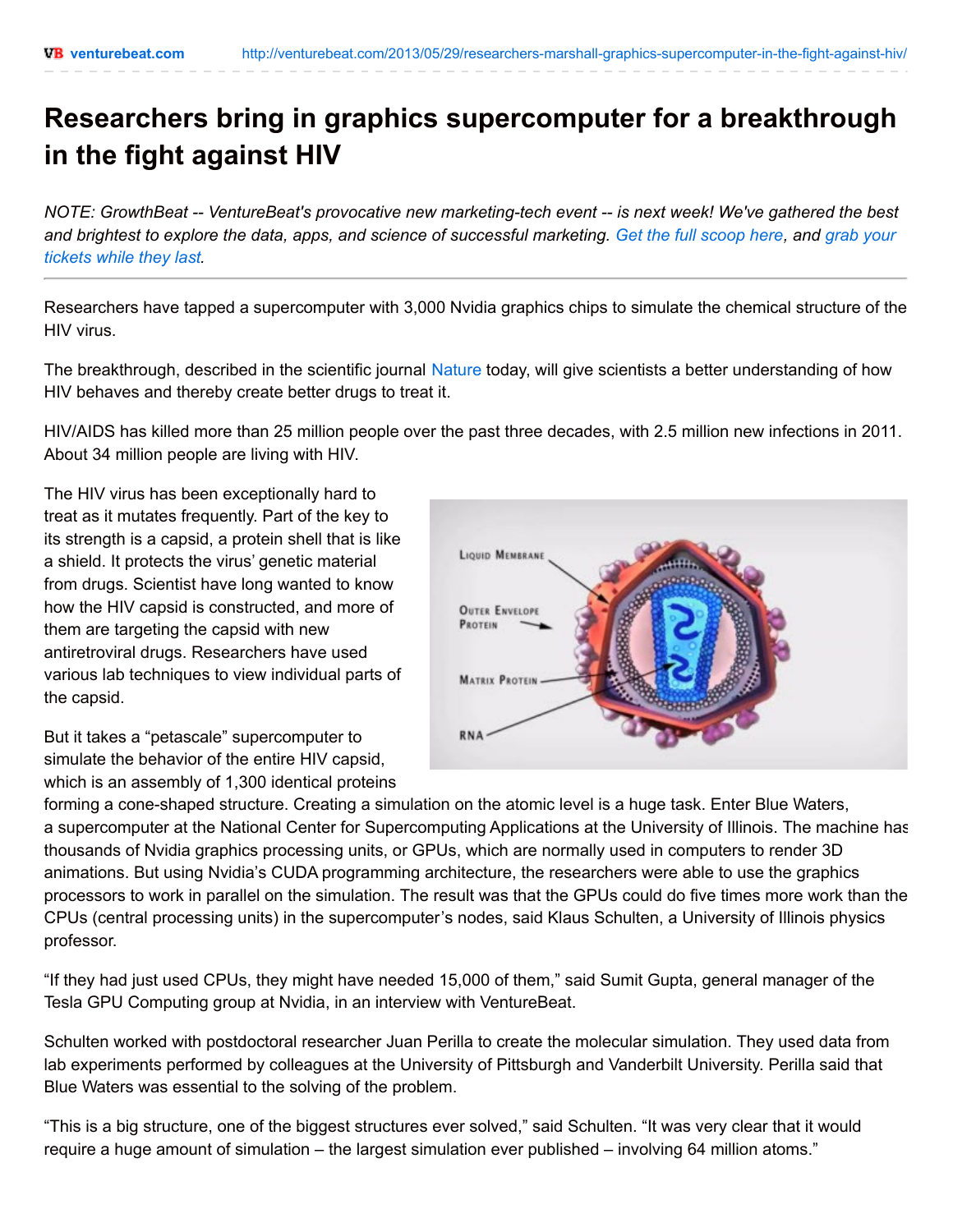## **Researchers bring in graphics supercomputer for a breakthrough in the fight against HIV**

*NOTE: GrowthBeat -- VentureBeat's provocative new marketing-tech event -- is next week! We've gathered the best* and brightest to explore the data, apps, and science of [successful](http://events.venturebeat.com/event/growthbeat2014/registration/?utm_source=venturebeat&utm_medium=boilerplate&utm_content=top2&utm_campaign=growthbeat2014) marketing. Get the full [scoop](http://events.venturebeat.com/event/growthbeat2014/?utm_source=venturebeat&utm_medium=boilerplate&utm_content=top2&utm_campaign=growthbeat2014) here, and grab your *tickets while they last.*

Researchers have tapped a supercomputer with 3,000 Nvidia graphics chips to simulate the chemical structure of the HIV virus.

The breakthrough, described in the scientific journal [Nature](http://www.nature.com/) today, will give scientists a better understanding of how HIV behaves and thereby create better drugs to treat it.

HIV/AIDS has killed more than 25 million people over the past three decades, with 2.5 million new infections in 2011. About 34 million people are living with HIV.

The HIV virus has been exceptionally hard to treat as it mutates frequently. Part of the key to its strength is a capsid, a protein shell that is like a shield. It protects the virus' genetic material from drugs. Scientist have long wanted to know how the HIV capsid is constructed, and more of them are targeting the capsid with new antiretroviral drugs. Researchers have used various lab techniques to view individual parts of the capsid.

But it takes a "petascale" supercomputer to simulate the behavior of the entire HIV capsid, which is an assembly of 1,300 identical proteins



forming a cone-shaped structure. Creating a simulation on the atomic level is a huge task. Enter Blue Waters, a supercomputer at the National Center for Supercomputing Applications at the University of Illinois. The machine has thousands of Nvidia graphics processing units, or GPUs, which are normally used in computers to render 3D animations. But using Nvidia's CUDA programming architecture, the researchers were able to use the graphics processors to work in parallel on the simulation. The result was that the GPUs could do five times more work than the CPUs (central processing units) in the supercomputer's nodes, said Klaus Schulten, a University of Illinois physics professor.

"If they had just used CPUs, they might have needed 15,000 of them," said Sumit Gupta, general manager of the Tesla GPU Computing group at Nvidia, in an interview with VentureBeat.

Schulten worked with postdoctoral researcher Juan Perilla to create the molecular simulation. They used data from lab experiments performed by colleagues at the University of Pittsburgh and Vanderbilt University. Perilla said that Blue Waters was essential to the solving of the problem.

"This is a big structure, one of the biggest structures ever solved," said Schulten. "It was very clear that it would require a huge amount of simulation – the largest simulation ever published – involving 64 million atoms."